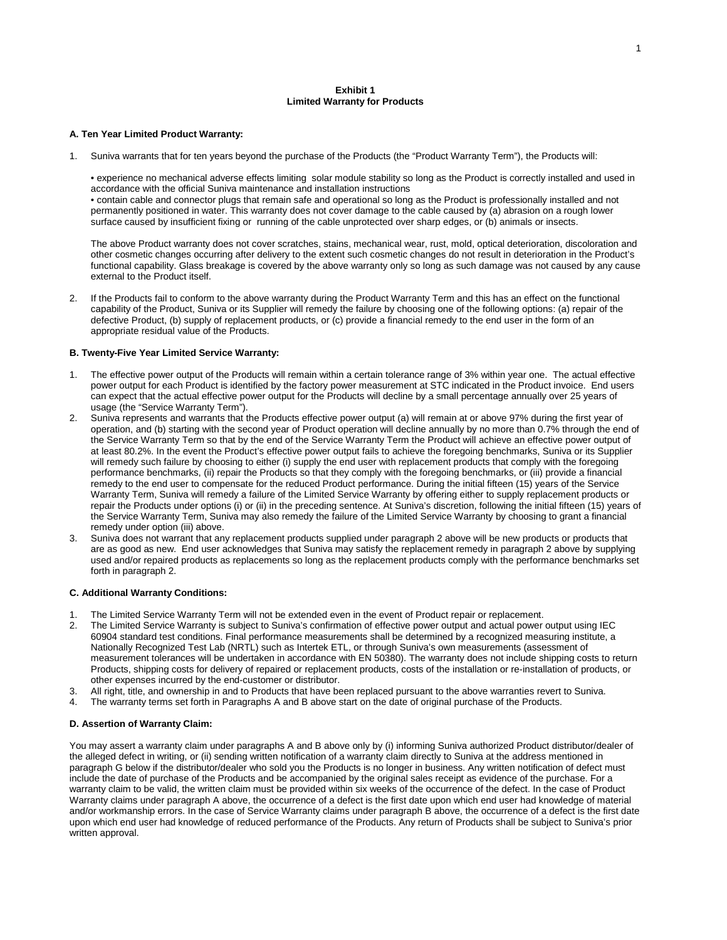# **Exhibit 1 Limited Warranty for Products**

## **A. Ten Year Limited Product Warranty:**

1. Suniva warrants that for ten years beyond the purchase of the Products (the "Product Warranty Term"), the Products will:

• experience no mechanical adverse effects limiting solar module stability so long as the Product is correctly installed and used in accordance with the official Suniva maintenance and installation instructions • contain cable and connector plugs that remain safe and operational so long as the Product is professionally installed and not permanently positioned in water. This warranty does not cover damage to the cable caused by (a) abrasion on a rough lower surface caused by insufficient fixing or running of the cable unprotected over sharp edges, or (b) animals or insects.

The above Product warranty does not cover scratches, stains, mechanical wear, rust, mold, optical deterioration, discoloration and other cosmetic changes occurring after delivery to the extent such cosmetic changes do not result in deterioration in the Product's functional capability. Glass breakage is covered by the above warranty only so long as such damage was not caused by any cause external to the Product itself.

2. If the Products fail to conform to the above warranty during the Product Warranty Term and this has an effect on the functional capability of the Product, Suniva or its Supplier will remedy the failure by choosing one of the following options: (a) repair of the defective Product, (b) supply of replacement products, or (c) provide a financial remedy to the end user in the form of an appropriate residual value of the Products.

### **B. Twenty-Five Year Limited Service Warranty:**

- 1. The effective power output of the Products will remain within a certain tolerance range of 3% within year one. The actual effective power output for each Product is identified by the factory power measurement at STC indicated in the Product invoice. End users can expect that the actual effective power output for the Products will decline by a small percentage annually over 25 years of usage (the "Service Warranty Term").
- 2. Suniva represents and warrants that the Products effective power output (a) will remain at or above 97% during the first year of operation, and (b) starting with the second year of Product operation will decline annually by no more than 0.7% through the end of the Service Warranty Term so that by the end of the Service Warranty Term the Product will achieve an effective power output of at least 80.2%. In the event the Product's effective power output fails to achieve the foregoing benchmarks, Suniva or its Supplier will remedy such failure by choosing to either (i) supply the end user with replacement products that comply with the foregoing performance benchmarks, (ii) repair the Products so that they comply with the foregoing benchmarks, or (iii) provide a financial remedy to the end user to compensate for the reduced Product performance. During the initial fifteen (15) years of the Service Warranty Term, Suniva will remedy a failure of the Limited Service Warranty by offering either to supply replacement products or repair the Products under options (i) or (ii) in the preceding sentence. At Suniva's discretion, following the initial fifteen (15) years of the Service Warranty Term, Suniva may also remedy the failure of the Limited Service Warranty by choosing to grant a financial remedy under option (iii) above.
- 3. Suniva does not warrant that any replacement products supplied under paragraph 2 above will be new products or products that are as good as new. End user acknowledges that Suniva may satisfy the replacement remedy in paragraph 2 above by supplying used and/or repaired products as replacements so long as the replacement products comply with the performance benchmarks set forth in paragraph 2.

# **C. Additional Warranty Conditions:**

- 1. The Limited Service Warranty Term will not be extended even in the event of Product repair or replacement.<br>2. The Limited Service Warranty is subject to Suniva's confirmation of effective power output and actual power
- 2. The Limited Service Warranty is subject to Suniva's confirmation of effective power output and actual power output using IEC 60904 standard test conditions. Final performance measurements shall be determined by a recognized measuring institute, a Nationally Recognized Test Lab (NRTL) such as Intertek ETL, or through Suniva's own measurements (assessment of measurement tolerances will be undertaken in accordance with EN 50380). The warranty does not include shipping costs to return Products, shipping costs for delivery of repaired or replacement products, costs of the installation or re-installation of products, or other expenses incurred by the end-customer or distributor.
- 3. All right, title, and ownership in and to Products that have been replaced pursuant to the above warranties revert to Suniva.
- 4. The warranty terms set forth in Paragraphs A and B above start on the date of original purchase of the Products.

# **D. Assertion of Warranty Claim:**

You may assert a warranty claim under paragraphs A and B above only by (i) informing Suniva authorized Product distributor/dealer of the alleged defect in writing, or (ii) sending written notification of a warranty claim directly to Suniva at the address mentioned in paragraph G below if the distributor/dealer who sold you the Products is no longer in business. Any written notification of defect must include the date of purchase of the Products and be accompanied by the original sales receipt as evidence of the purchase. For a warranty claim to be valid, the written claim must be provided within six weeks of the occurrence of the defect. In the case of Product Warranty claims under paragraph A above, the occurrence of a defect is the first date upon which end user had knowledge of material and/or workmanship errors. In the case of Service Warranty claims under paragraph B above, the occurrence of a defect is the first date upon which end user had knowledge of reduced performance of the Products. Any return of Products shall be subject to Suniva's prior written approval.